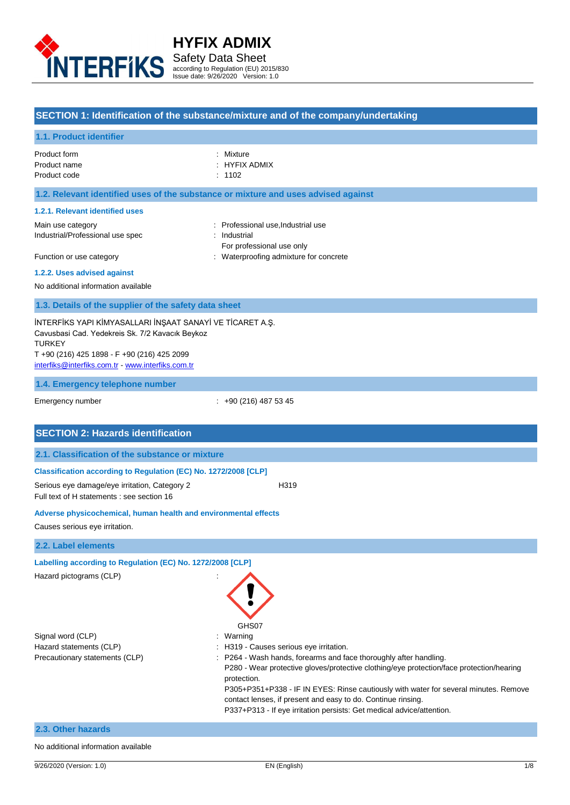

Safety Data Sheet according to Regulation (EU) 2015/830 Issue date: 9/26/2020 Version: 1.0

## **SECTION 1: Identification of the substance/mixture and of the company/undertaking**

#### **1.1. Product identifier**

| Product form | : Mixture     |
|--------------|---------------|
| Product name | : HYFIX ADMIX |
| Product code | $\div$ 1102   |

#### **1.2. Relevant identified uses of the substance or mixture and uses advised against**

#### **1.2.1. Relevant identified uses**

Industrial/Professional use spec : Industrial

- Main use category **Main use category : Professional use,Industrial use** 
	-
- Function or use category **intervalled** in the Waterproofing admixture for concrete
- For professional use only
- **1.2.2. Uses advised against**

No additional information available

#### **1.3. Details of the supplier of the safety data sheet**

İNTERFİKS YAPI KİMYASALLARI İNŞAAT SANAYİ VE TİCARET A.Ş. Cavusbasi Cad. Yedekreis Sk. 7/2 Kavacık Beykoz TURKEY T +90 (216) 425 1898 - F +90 (216) 425 2099 [interfiks@interfiks.com.tr](mailto:interfiks@interfiks.com.tr) - [www.interfiks.com.tr](/Users/bulentyildiz/Library/Mobile%20Documents/com~apple~CloudDocs/SDS%20HAZIRLAMA%20MÜŞTERİ/I/INTERFIKS/İNTERFİKS%20BİTENLER/11%20serisi/www.interfiks.com.tr)

#### **1.4. Emergency telephone number**

Emergency number : +90 (216) 487 53 45

#### **SECTION 2: Hazards identification**

#### **2.1. Classification of the substance or mixture**

#### **Classification according to Regulation (EC) No. 1272/2008 [CLP]**

Serious eye damage/eye irritation, Category 2 H319 Full text of H statements : see section 16

#### **Adverse physicochemical, human health and environmental effects**

Causes serious eye irritation.

#### **2.2. Label elements**

#### **Labelling according to Regulation (EC) No. 1272/2008 [CLP]**

Hazard pictograms (CLP) :

|                                | GHS07                                                                                    |
|--------------------------------|------------------------------------------------------------------------------------------|
| Signal word (CLP)              | : Warning                                                                                |
| Hazard statements (CLP)        | : H319 - Causes serious eye irritation.                                                  |
| Precautionary statements (CLP) | : P264 - Wash hands, forearms and face thoroughly after handling.                        |
|                                | P280 - Wear protective gloves/protective clothing/eye protection/face protection/hearing |
|                                | protection.                                                                              |
|                                | P305+P351+P338 - IF IN EVES: Rinse cautiously with water for several minutes. Remo       |

P305+P351+P338 - IF IN EYES: Rinse cautiously with water for several minutes. Remove contact lenses, if present and easy to do. Continue rinsing.

P337+P313 - If eye irritation persists: Get medical advice/attention.

### **2.3. Other hazards**

#### No additional information available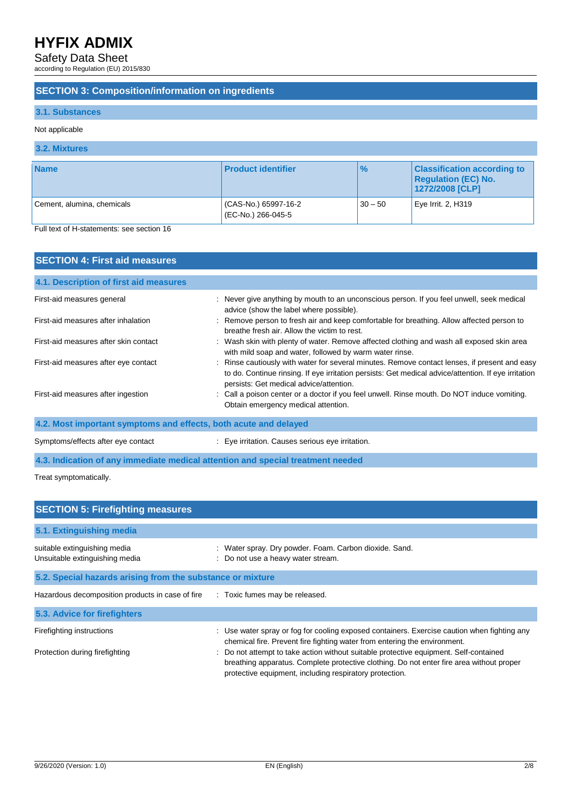Safety Data Sheet

according to Regulation (EU) 2015/830

### **SECTION 3: Composition/information on ingredients**

### **3.1. Substances**

#### Not applicable

## **3.2. Mixtures**

| <b>Name</b>                | <b>Product identifier</b>                 | $\%$      | <b>Classification according to</b><br><b>Regulation (EC) No.</b><br>1272/2008 [CLP] |
|----------------------------|-------------------------------------------|-----------|-------------------------------------------------------------------------------------|
| Cement, alumina, chemicals | CAS-No.) 65997-16-2<br>(EC-No.) 266-045-5 | $30 - 50$ | Eye Irrit. 2, H319                                                                  |

Full text of H-statements: see section 16

| <b>SECTION 4: First aid measures</b>                             |                                                                                                                                                                                                                                                  |  |  |
|------------------------------------------------------------------|--------------------------------------------------------------------------------------------------------------------------------------------------------------------------------------------------------------------------------------------------|--|--|
| 4.1. Description of first aid measures                           |                                                                                                                                                                                                                                                  |  |  |
| First-aid measures general                                       | : Never give anything by mouth to an unconscious person. If you feel unwell, seek medical<br>advice (show the label where possible).                                                                                                             |  |  |
| First-aid measures after inhalation                              | : Remove person to fresh air and keep comfortable for breathing. Allow affected person to<br>breathe fresh air. Allow the victim to rest.                                                                                                        |  |  |
| First-aid measures after skin contact                            | : Wash skin with plenty of water. Remove affected clothing and wash all exposed skin area<br>with mild soap and water, followed by warm water rinse.                                                                                             |  |  |
| First-aid measures after eye contact                             | : Rinse cautiously with water for several minutes. Remove contact lenses, if present and easy<br>to do. Continue rinsing. If eye irritation persists: Get medical advice/attention. If eye irritation<br>persists: Get medical advice/attention. |  |  |
| First-aid measures after ingestion                               | : Call a poison center or a doctor if you feel unwell. Rinse mouth. Do NOT induce vomiting.<br>Obtain emergency medical attention.                                                                                                               |  |  |
| 4.2. Most important symptoms and effects, both acute and delayed |                                                                                                                                                                                                                                                  |  |  |
| Symptoms/effects after eye contact                               | : Eye irritation. Causes serious eye irritation.                                                                                                                                                                                                 |  |  |
|                                                                  | 4.3. Indication of any immediate medical attention and special treatment needed                                                                                                                                                                  |  |  |

Treat symptomatically.

| <b>SECTION 5: Firefighting measures</b>                        |                                                                                                                                                                                                                                              |  |  |  |
|----------------------------------------------------------------|----------------------------------------------------------------------------------------------------------------------------------------------------------------------------------------------------------------------------------------------|--|--|--|
| 5.1. Extinguishing media                                       |                                                                                                                                                                                                                                              |  |  |  |
| suitable extinguishing media<br>Unsuitable extinguishing media | Water spray. Dry powder. Foam. Carbon dioxide. Sand.<br>: Do not use a heavy water stream.                                                                                                                                                   |  |  |  |
| 5.2. Special hazards arising from the substance or mixture     |                                                                                                                                                                                                                                              |  |  |  |
| Hazardous decomposition products in case of fire               | : Toxic fumes may be released.                                                                                                                                                                                                               |  |  |  |
| 5.3. Advice for firefighters                                   |                                                                                                                                                                                                                                              |  |  |  |
| Firefighting instructions                                      | : Use water spray or fog for cooling exposed containers. Exercise caution when fighting any<br>chemical fire. Prevent fire fighting water from entering the environment.                                                                     |  |  |  |
| Protection during firefighting                                 | : Do not attempt to take action without suitable protective equipment. Self-contained<br>breathing apparatus. Complete protective clothing. Do not enter fire area without proper<br>protective equipment, including respiratory protection. |  |  |  |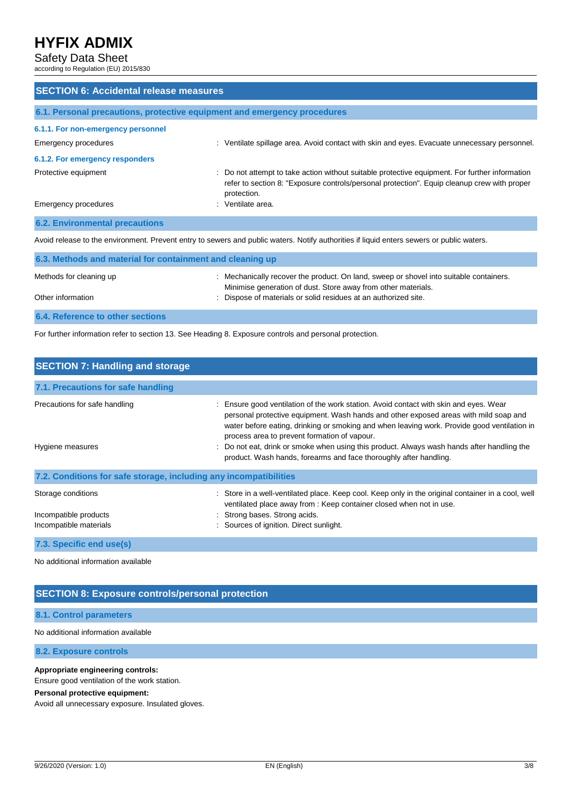### Safety Data Sheet

according to Regulation (EU) 2015/830

| <b>SECTION 6: Accidental release measures</b>                                                                                             |                                                                                                                                                                                                              |  |  |  |
|-------------------------------------------------------------------------------------------------------------------------------------------|--------------------------------------------------------------------------------------------------------------------------------------------------------------------------------------------------------------|--|--|--|
| 6.1. Personal precautions, protective equipment and emergency procedures                                                                  |                                                                                                                                                                                                              |  |  |  |
| 6.1.1. For non-emergency personnel                                                                                                        |                                                                                                                                                                                                              |  |  |  |
| Emergency procedures                                                                                                                      | : Ventilate spillage area. Avoid contact with skin and eyes. Evacuate unnecessary personnel.                                                                                                                 |  |  |  |
| 6.1.2. For emergency responders                                                                                                           |                                                                                                                                                                                                              |  |  |  |
| Protective equipment                                                                                                                      | : Do not attempt to take action without suitable protective equipment. For further information<br>refer to section 8: "Exposure controls/personal protection". Equip cleanup crew with proper<br>protection. |  |  |  |
| Emergency procedures                                                                                                                      | : Ventilate area.                                                                                                                                                                                            |  |  |  |
| <b>6.2. Environmental precautions</b>                                                                                                     |                                                                                                                                                                                                              |  |  |  |
| Avoid release to the environment. Prevent entry to sewers and public waters. Notify authorities if liquid enters sewers or public waters. |                                                                                                                                                                                                              |  |  |  |

| 6.3. Methods and material for containment and cleaning up |                                                                                                                                                         |  |  |
|-----------------------------------------------------------|---------------------------------------------------------------------------------------------------------------------------------------------------------|--|--|
| Methods for cleaning up                                   | : Mechanically recover the product. On land, sweep or shovel into suitable containers.<br>Minimise generation of dust. Store away from other materials. |  |  |
| Other information                                         | : Dispose of materials or solid residues at an authorized site.                                                                                         |  |  |
| <b>6.4. Reference to other sections</b>                   |                                                                                                                                                         |  |  |

For further information refer to section 13. See Heading 8. Exposure controls and personal protection.

| <b>SECTION 7: Handling and storage</b>                                |                                                                                                                                                                                                                                                                                                                                                                                                                                                                                                 |  |  |
|-----------------------------------------------------------------------|-------------------------------------------------------------------------------------------------------------------------------------------------------------------------------------------------------------------------------------------------------------------------------------------------------------------------------------------------------------------------------------------------------------------------------------------------------------------------------------------------|--|--|
| 7.1. Precautions for safe handling                                    |                                                                                                                                                                                                                                                                                                                                                                                                                                                                                                 |  |  |
| Precautions for safe handling<br>Hygiene measures                     | : Ensure good ventilation of the work station. Avoid contact with skin and eyes. Wear<br>personal protective equipment. Wash hands and other exposed areas with mild soap and<br>water before eating, drinking or smoking and when leaving work. Provide good ventilation in<br>process area to prevent formation of vapour.<br>: Do not eat, drink or smoke when using this product. Always wash hands after handling the<br>product. Wash hands, forearms and face thoroughly after handling. |  |  |
| 7.2. Conditions for safe storage, including any incompatibilities     |                                                                                                                                                                                                                                                                                                                                                                                                                                                                                                 |  |  |
| Storage conditions<br>Incompatible products<br>Incompatible materials | : Store in a well-ventilated place. Keep cool. Keep only in the original container in a cool, well<br>ventilated place away from : Keep container closed when not in use.<br>: Strong bases. Strong acids.<br>: Sources of ignition. Direct sunlight.                                                                                                                                                                                                                                           |  |  |
| 7.3. Specific end use(s)                                              |                                                                                                                                                                                                                                                                                                                                                                                                                                                                                                 |  |  |

No additional information available

## **SECTION 8: Exposure controls/personal protection**

#### **8.1. Control parameters**

No additional information available

**8.2. Exposure controls**

#### **Appropriate engineering controls:**

Ensure good ventilation of the work station.

#### **Personal protective equipment:**

Avoid all unnecessary exposure. Insulated gloves.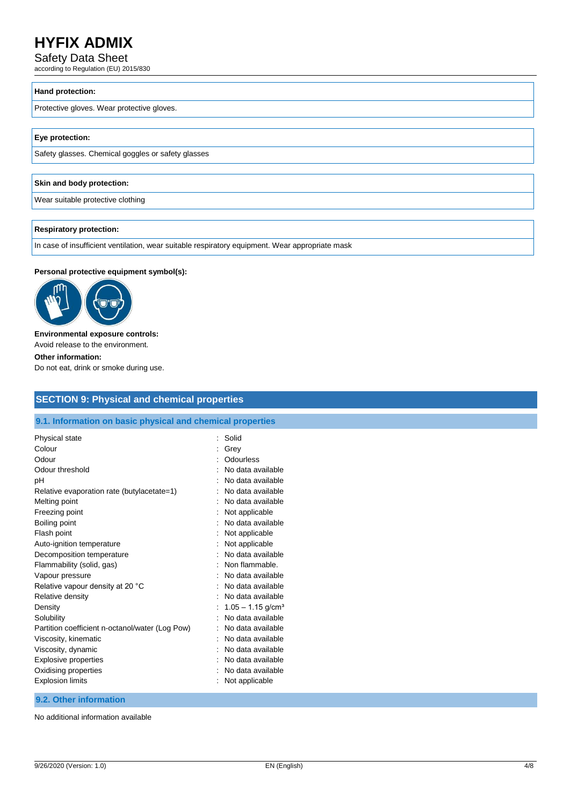Safety Data Sheet

according to Regulation (EU) 2015/830

#### **Hand protection:**

Protective gloves. Wear protective gloves.

#### **Eye protection:**

Safety glasses. Chemical goggles or safety glasses

#### **Skin and body protection:**

Wear suitable protective clothing

#### **Respiratory protection:**

In case of insufficient ventilation, wear suitable respiratory equipment. Wear appropriate mask

#### **Personal protective equipment symbol(s):**



#### **Environmental exposure controls:**

Avoid release to the environment.

#### **Other information:**

Do not eat, drink or smoke during use.

# **SECTION 9: Physical and chemical properties**

#### **9.1. Information on basic physical and chemical properties**

| Physical state                                  | t | Solid                           |
|-------------------------------------------------|---|---------------------------------|
| Colour                                          |   | Grey                            |
| Odour                                           |   | Odourless                       |
| Odour threshold                                 |   | No data available               |
| рH                                              |   | No data available               |
| Relative evaporation rate (butylacetate=1)      |   | No data available               |
| Melting point                                   |   | No data available               |
| Freezing point                                  |   | Not applicable                  |
| Boiling point                                   |   | No data available               |
| Flash point                                     |   | Not applicable                  |
| Auto-ignition temperature                       |   | Not applicable                  |
| Decomposition temperature                       |   | No data available               |
| Flammability (solid, gas)                       |   | Non flammable.                  |
| Vapour pressure                                 |   | No data available               |
| Relative vapour density at 20 °C                |   | No data available               |
| Relative density                                |   | No data available               |
| Density                                         |   | $1.05 - 1.15$ g/cm <sup>3</sup> |
| Solubility                                      |   | No data available               |
| Partition coefficient n-octanol/water (Log Pow) |   | No data available               |
| Viscosity, kinematic                            |   | No data available               |
| Viscosity, dynamic                              |   | No data available               |
| <b>Explosive properties</b>                     |   | No data available               |
| Oxidising properties                            |   | No data available               |
| <b>Explosion limits</b>                         |   | Not applicable                  |

#### **9.2. Other information**

No additional information available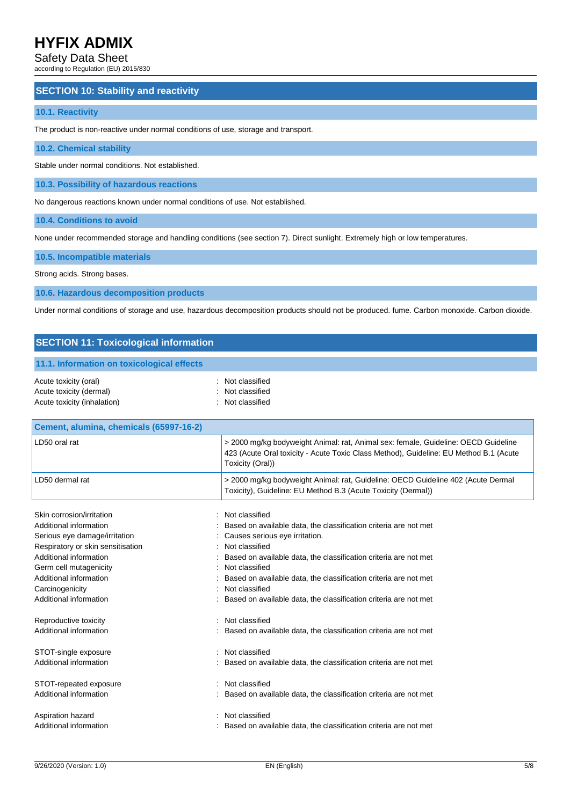#### Safety Data Sheet

according to Regulation (EU) 2015/830

#### **SECTION 10: Stability and reactivity**

#### **10.1. Reactivity**

The product is non-reactive under normal conditions of use, storage and transport.

#### **10.2. Chemical stability**

Stable under normal conditions. Not established.

**10.3. Possibility of hazardous reactions**

No dangerous reactions known under normal conditions of use. Not established.

**10.4. Conditions to avoid**

None under recommended storage and handling conditions (see section 7). Direct sunlight. Extremely high or low temperatures.

**10.5. Incompatible materials**

Strong acids. Strong bases.

**10.6. Hazardous decomposition products**

Under normal conditions of storage and use, hazardous decomposition products should not be produced. fume. Carbon monoxide. Carbon dioxide.

#### **SECTION 11: Toxicological information**

|  | 11.1. Information on toxicological effects |  |
|--|--------------------------------------------|--|
|  |                                            |  |

| Acute toxicity (oral)       | : Not classified |
|-----------------------------|------------------|
| Acute toxicity (dermal)     | : Not classified |
| Acute toxicity (inhalation) | : Not classified |

| Cement, alumina, chemicals (65997-16-2)              |                                                                                                                                                                                                 |
|------------------------------------------------------|-------------------------------------------------------------------------------------------------------------------------------------------------------------------------------------------------|
| LD50 oral rat                                        | > 2000 mg/kg bodyweight Animal: rat, Animal sex: female, Guideline: OECD Guideline<br>423 (Acute Oral toxicity - Acute Toxic Class Method), Guideline: EU Method B.1 (Acute<br>Toxicity (Oral)) |
| LD50 dermal rat                                      | > 2000 mg/kg bodyweight Animal: rat, Guideline: OECD Guideline 402 (Acute Dermal<br>Toxicity), Guideline: EU Method B.3 (Acute Toxicity (Dermal))                                               |
| Skin corrosion/irritation                            | Not classified                                                                                                                                                                                  |
| Additional information                               | Based on available data, the classification criteria are not met                                                                                                                                |
| Serious eye damage/irritation                        | Causes serious eye irritation.                                                                                                                                                                  |
| Respiratory or skin sensitisation                    | Not classified                                                                                                                                                                                  |
| Additional information                               | Based on available data, the classification criteria are not met                                                                                                                                |
| Germ cell mutagenicity                               | Not classified                                                                                                                                                                                  |
| Additional information                               | Based on available data, the classification criteria are not met                                                                                                                                |
| Carcinogenicity                                      | Not classified                                                                                                                                                                                  |
| Additional information                               | Based on available data, the classification criteria are not met                                                                                                                                |
| Reproductive toxicity<br>۰<br>Additional information | Not classified<br>Based on available data, the classification criteria are not met                                                                                                              |
| STOT-single exposure                                 | Not classified                                                                                                                                                                                  |
| Additional information                               | Based on available data, the classification criteria are not met                                                                                                                                |
| STOT-repeated exposure                               | Not classified                                                                                                                                                                                  |
| Additional information                               | Based on available data, the classification criteria are not met                                                                                                                                |
| Aspiration hazard                                    | Not classified                                                                                                                                                                                  |
| Additional information                               | Based on available data, the classification criteria are not met                                                                                                                                |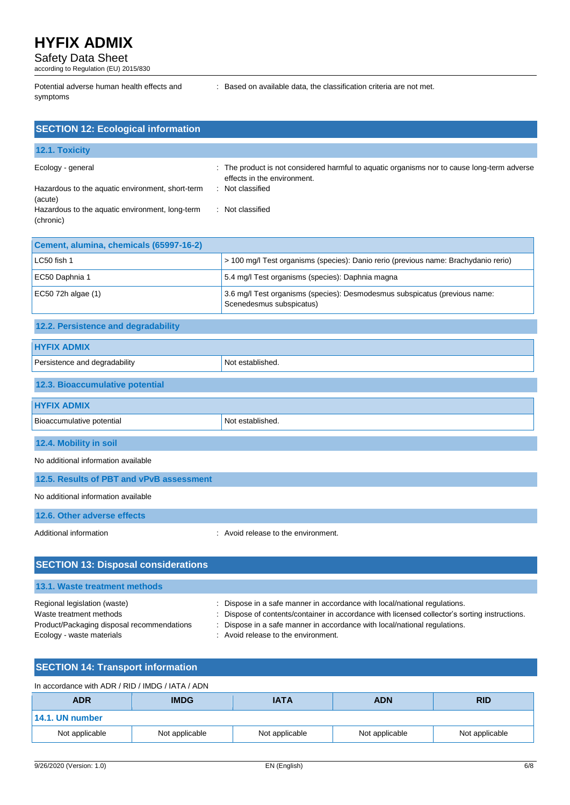Safety Data Sheet

according to Regulation (EU) 2015/830

Potential adverse human health effects and symptoms

: Based on available data, the classification criteria are not met.

| <b>SECTION 12: Ecological information</b>                    |                                                                                                                          |
|--------------------------------------------------------------|--------------------------------------------------------------------------------------------------------------------------|
| 12.1. Toxicity                                               |                                                                                                                          |
| Ecology - general                                            | The product is not considered harmful to aquatic organisms nor to cause long-term adverse<br>effects in the environment. |
| Hazardous to the aquatic environment, short-term<br>(acute)  | : Not classified                                                                                                         |
| Hazardous to the aquatic environment, long-term<br>(chronic) | : Not classified                                                                                                         |
| Cement, alumina, chemicals (65997-16-2)                      |                                                                                                                          |
| LC50 fish 1                                                  | > 100 mg/l Test organisms (species): Danio rerio (previous name: Brachydanio rerio)                                      |
| EC50 Daphnia 1                                               | 5.4 mg/l Test organisms (species): Daphnia magna                                                                         |
| EC50 72h algae (1)                                           | 3.6 mg/l Test organisms (species): Desmodesmus subspicatus (previous name:<br>Scenedesmus subspicatus)                   |
| 12.2. Persistence and degradability                          |                                                                                                                          |
| <b>HYFIX ADMIX</b>                                           |                                                                                                                          |
| Persistence and degradability                                | Not established.                                                                                                         |

# **12.3. Bioaccumulative potential**

| $\sim$                    |                  |
|---------------------------|------------------|
| <b>HYFIX ADMIX</b>        |                  |
| Bioaccumulative potential | Not established. |
| 12.4. Mobility in soil    |                  |

No additional information available

|  |  | 12.5. Results of PBT and vPvB assessment |
|--|--|------------------------------------------|
|  |  |                                          |

No additional information available

**12.6. Other adverse effects**

Additional information **interval information** : Avoid release to the environment.

| <b>SECTION 13: Disposal considerations</b>                                                                                         |                                                                                                                                                                                                                                                                                                |  |  |
|------------------------------------------------------------------------------------------------------------------------------------|------------------------------------------------------------------------------------------------------------------------------------------------------------------------------------------------------------------------------------------------------------------------------------------------|--|--|
| 13.1. Waste treatment methods                                                                                                      |                                                                                                                                                                                                                                                                                                |  |  |
| Regional legislation (waste)<br>Waste treatment methods<br>Product/Packaging disposal recommendations<br>Ecology - waste materials | : Dispose in a safe manner in accordance with local/national regulations.<br>: Dispose of contents/container in accordance with licensed collector's sorting instructions.<br>: Dispose in a safe manner in accordance with local/national regulations.<br>: Avoid release to the environment. |  |  |

# **SECTION 14: Transport information**

| In accordance with ADR / RID / IMDG / IATA / ADN |                |                |                |                |
|--------------------------------------------------|----------------|----------------|----------------|----------------|
| <b>ADR</b>                                       | <b>IMDG</b>    | <b>IATA</b>    | <b>ADN</b>     | <b>RID</b>     |
| 14.1. UN number                                  |                |                |                |                |
| Not applicable                                   | Not applicable | Not applicable | Not applicable | Not applicable |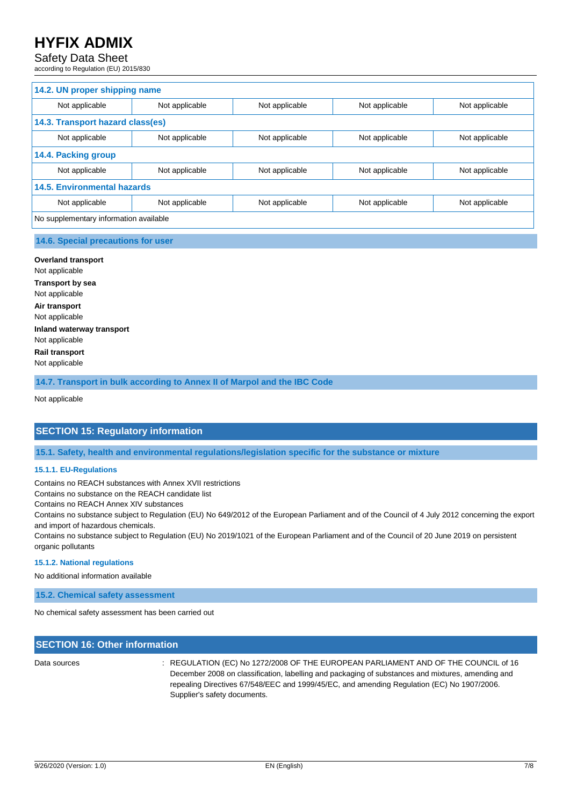### Safety Data Sheet

according to Regulation (EU) 2015/830

| 14.2. UN proper shipping name          |                |                |                |                |
|----------------------------------------|----------------|----------------|----------------|----------------|
| Not applicable                         | Not applicable | Not applicable | Not applicable | Not applicable |
| 14.3. Transport hazard class(es)       |                |                |                |                |
| Not applicable                         | Not applicable | Not applicable | Not applicable | Not applicable |
| 14.4. Packing group                    |                |                |                |                |
| Not applicable                         | Not applicable | Not applicable | Not applicable | Not applicable |
| <b>14.5. Environmental hazards</b>     |                |                |                |                |
| Not applicable                         | Not applicable | Not applicable | Not applicable | Not applicable |
| No supplementary information available |                |                |                |                |

#### **14.6. Special precautions for user**

**Overland transport** Not applicable **Transport by sea** Not applicable **Air transport** Not applicable **Inland waterway transport** Not applicable **Rail transport** Not applicable

**14.7. Transport in bulk according to Annex II of Marpol and the IBC Code**

Not applicable

### **SECTION 15: Regulatory information**

**15.1. Safety, health and environmental regulations/legislation specific for the substance or mixture**

#### **15.1.1. EU-Regulations**

Contains no REACH substances with Annex XVII restrictions

Contains no substance on the REACH candidate list

Contains no REACH Annex XIV substances

Contains no substance subject to Regulation (EU) No 649/2012 of the European Parliament and of the Council of 4 July 2012 concerning the export and import of hazardous chemicals.

Contains no substance subject to Regulation (EU) No 2019/1021 of the European Parliament and of the Council of 20 June 2019 on persistent organic pollutants

#### **15.1.2. National regulations**

No additional information available

**15.2. Chemical safety assessment**

No chemical safety assessment has been carried out

### **SECTION 16: Other information**

Data sources : REGULATION (EC) No 1272/2008 OF THE EUROPEAN PARLIAMENT AND OF THE COUNCIL of 16 December 2008 on classification, labelling and packaging of substances and mixtures, amending and repealing Directives 67/548/EEC and 1999/45/EC, and amending Regulation (EC) No 1907/2006. Supplier's safety documents.